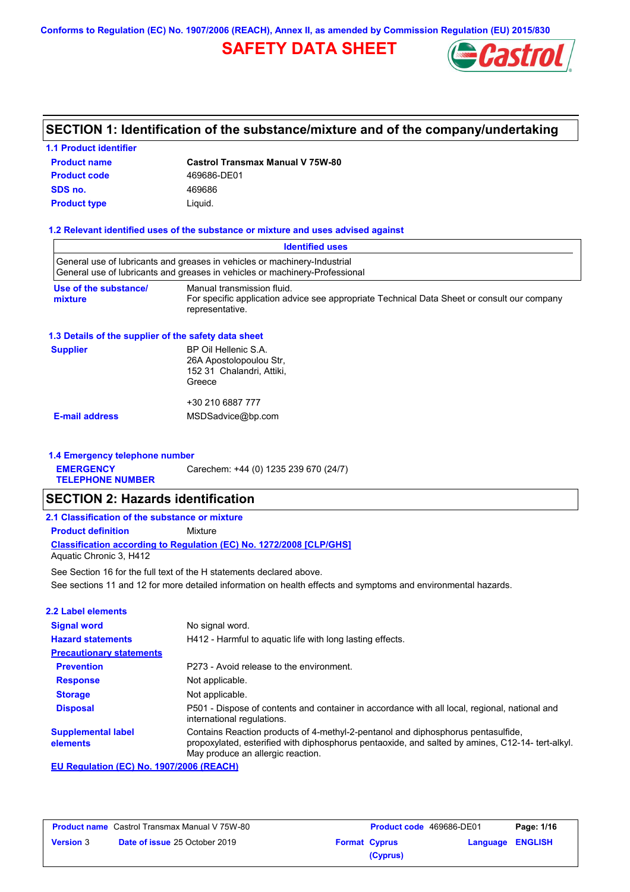**Conforms to Regulation (EC) No. 1907/2006 (REACH), Annex II, as amended by Commission Regulation (EU) 2015/830**

# **SAFETY DATA SHEET**



# **SECTION 1: Identification of the substance/mixture and of the company/undertaking**

### **1.1 Product identifier**

| <b>Product name</b> | <b>Castrol Transmax Manual V 75W-80</b> |
|---------------------|-----------------------------------------|
| <b>Product code</b> | 469686-DE01                             |
| SDS no.             | 469686                                  |
| <b>Product type</b> | Liauid.                                 |

#### **1.2 Relevant identified uses of the substance or mixture and uses advised against**

|                                                      | <b>Identified uses</b>                                                                                                                                                                                                    |
|------------------------------------------------------|---------------------------------------------------------------------------------------------------------------------------------------------------------------------------------------------------------------------------|
|                                                      | General use of lubricants and greases in vehicles or machinery-Industrial<br>General use of lubricants and greases in vehicles or machinery-Professional                                                                  |
|                                                      |                                                                                                                                                                                                                           |
| Use of the substance/<br>mixture                     | Manual transmission fluid.<br>For specific application advice see appropriate Technical Data Sheet or consult our company<br>representative.                                                                              |
| 1.3 Details of the supplier of the safety data sheet |                                                                                                                                                                                                                           |
| <b>Supplier</b>                                      | BP Oil Hellenic S.A.<br>26A Apostolopoulou Str,<br>152 31 Chalandri, Attiki,<br>Greece                                                                                                                                    |
|                                                      | +30 210 6887 777                                                                                                                                                                                                          |
| <b>E-mail address</b>                                | MSDSadvice@bp.com                                                                                                                                                                                                         |
| 1.4 Emergency telephone number                       |                                                                                                                                                                                                                           |
| <b>EMERGENCY</b><br><b>TELEPHONE NUMBER</b>          | Carechem: +44 (0) 1235 239 670 (24/7)                                                                                                                                                                                     |
| <b>SECTION 2: Hazards identification</b>             |                                                                                                                                                                                                                           |
| 2.1 Classification of the substance or mixture       |                                                                                                                                                                                                                           |
| <b>Product definition</b>                            | Mixture                                                                                                                                                                                                                   |
| Aquatic Chronic 3, H412                              | Classification according to Regulation (EC) No. 1272/2008 [CLP/GHS]                                                                                                                                                       |
|                                                      | See Section 16 for the full text of the H statements declared above.                                                                                                                                                      |
|                                                      | See sections 11 and 12 for more detailed information on health effects and symptoms and environmental hazards.                                                                                                            |
| 2.2 Label elements                                   |                                                                                                                                                                                                                           |
| <b>Signal word</b>                                   | No signal word.                                                                                                                                                                                                           |
| <b>Hazard statements</b>                             | H412 - Harmful to aquatic life with long lasting effects.                                                                                                                                                                 |
| <b>Precautionary statements</b>                      |                                                                                                                                                                                                                           |
| <b>Prevention</b>                                    | P273 - Avoid release to the environment.                                                                                                                                                                                  |
| <b>Response</b>                                      | Not applicable.                                                                                                                                                                                                           |
| <b>Storage</b>                                       | Not applicable.                                                                                                                                                                                                           |
| <b>Disposal</b>                                      | P501 - Dispose of contents and container in accordance with all local, regional, national and<br>international regulations.                                                                                               |
| <b>Supplemental label</b><br>elements                | Contains Reaction products of 4-methyl-2-pentanol and diphosphorus pentasulfide,<br>propoxylated, esterified with diphosphorus pentaoxide, and salted by amines, C12-14- tert-alkyl.<br>May produce an allergic reaction. |

**EU Regulation (EC) No. 1907/2006 (REACH)**

| <b>Product name</b> Castrol Transmax Manual V 75W-80 |                                      | <b>Product code</b> 469686-DE01 |                      | Page: 1/16       |  |
|------------------------------------------------------|--------------------------------------|---------------------------------|----------------------|------------------|--|
| <b>Version 3</b>                                     | <b>Date of issue 25 October 2019</b> |                                 | <b>Format Cyprus</b> | Language ENGLISH |  |
|                                                      |                                      |                                 | (Cyprus)             |                  |  |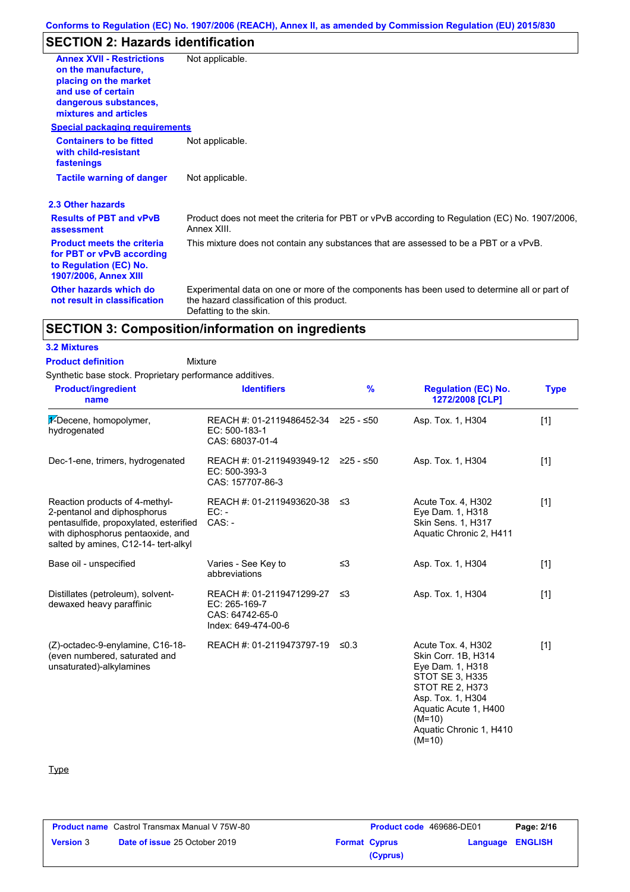# **SECTION 2: Hazards identification**

| <b>Annex XVII - Restrictions</b><br>on the manufacture,<br>placing on the market<br>and use of certain<br>dangerous substances,<br>mixtures and articles | Not applicable.                                                                                                                                                      |
|----------------------------------------------------------------------------------------------------------------------------------------------------------|----------------------------------------------------------------------------------------------------------------------------------------------------------------------|
| <b>Special packaging requirements</b>                                                                                                                    |                                                                                                                                                                      |
| <b>Containers to be fitted</b><br>with child-resistant<br>fastenings                                                                                     | Not applicable.                                                                                                                                                      |
| <b>Tactile warning of danger</b>                                                                                                                         | Not applicable.                                                                                                                                                      |
| 2.3 Other hazards                                                                                                                                        |                                                                                                                                                                      |
| <b>Results of PBT and vPvB</b><br>assessment                                                                                                             | Product does not meet the criteria for PBT or vPvB according to Regulation (EC) No. 1907/2006,<br>Annex XIII.                                                        |
| <b>Product meets the criteria</b><br>for PBT or vPvB according<br>to Regulation (EC) No.<br><b>1907/2006, Annex XIII</b>                                 | This mixture does not contain any substances that are assessed to be a PBT or a vPvB.                                                                                |
| Other hazards which do<br>not result in classification                                                                                                   | Experimental data on one or more of the components has been used to determine all or part of<br>the hazard classification of this product.<br>Defatting to the skin. |

# **SECTION 3: Composition/information on ingredients**

### **3.2 Mixtures**

**Product definition**

Mixture

Synthetic base stock. Proprietary performance additives.

| <b>Product/ingredient</b><br>name                                                                                                                                                    | <b>Identifiers</b>                                                                   | $\frac{9}{6}$ | <b>Regulation (EC) No.</b><br>1272/2008 [CLP]                                                                                                                                                               | <b>Type</b> |
|--------------------------------------------------------------------------------------------------------------------------------------------------------------------------------------|--------------------------------------------------------------------------------------|---------------|-------------------------------------------------------------------------------------------------------------------------------------------------------------------------------------------------------------|-------------|
| 1-Decene, homopolymer,<br>hydrogenated                                                                                                                                               | REACH #: 01-2119486452-34 ≥25 - ≤50<br>EC: 500-183-1<br>CAS: 68037-01-4              |               | Asp. Tox. 1, H304                                                                                                                                                                                           | $[1]$       |
| Dec-1-ene, trimers, hydrogenated                                                                                                                                                     | REACH #: 01-2119493949-12 ≥25 - ≤50<br>EC: 500-393-3<br>CAS: 157707-86-3             |               | Asp. Tox. 1, H304                                                                                                                                                                                           | $[1]$       |
| Reaction products of 4-methyl-<br>2-pentanol and diphosphorus<br>pentasulfide, propoxylated, esterified<br>with diphosphorus pentaoxide, and<br>salted by amines, C12-14- tert-alkyl | REACH #: 01-2119493620-38<br>$EC:$ -<br>$CAS: -$                                     | -≤3           | Acute Tox. 4, H302<br>Eye Dam. 1, H318<br><b>Skin Sens. 1, H317</b><br>Aquatic Chronic 2, H411                                                                                                              | $[1]$       |
| Base oil - unspecified                                                                                                                                                               | Varies - See Key to<br>abbreviations                                                 | ≤3            | Asp. Tox. 1, H304                                                                                                                                                                                           | $[1]$       |
| Distillates (petroleum), solvent-<br>dewaxed heavy paraffinic                                                                                                                        | REACH #: 01-2119471299-27<br>EC: 265-169-7<br>CAS: 64742-65-0<br>Index: 649-474-00-6 | ≤3            | Asp. Tox. 1, H304                                                                                                                                                                                           | $[1]$       |
| (Z)-octadec-9-enylamine, C16-18-<br>(even numbered, saturated and<br>unsaturated)-alkylamines                                                                                        | REACH #: 01-2119473797-19                                                            | $\leq 0.3$    | Acute Tox. 4, H302<br>Skin Corr. 1B, H314<br>Eye Dam. 1, H318<br>STOT SE 3, H335<br><b>STOT RE 2, H373</b><br>Asp. Tox. 1, H304<br>Aquatic Acute 1, H400<br>$(M=10)$<br>Aquatic Chronic 1, H410<br>$(M=10)$ | $[1]$       |

### **Type**

| <b>Product name</b> Castrol Transmax Manual V 75W-80 |                                      | <b>Product code</b> 469686-DE01 |                      | Page: 2/16              |  |
|------------------------------------------------------|--------------------------------------|---------------------------------|----------------------|-------------------------|--|
| <b>Version 3</b>                                     | <b>Date of issue 25 October 2019</b> |                                 | <b>Format Cyprus</b> | <b>Language ENGLISH</b> |  |
|                                                      |                                      |                                 | (Cyprus)             |                         |  |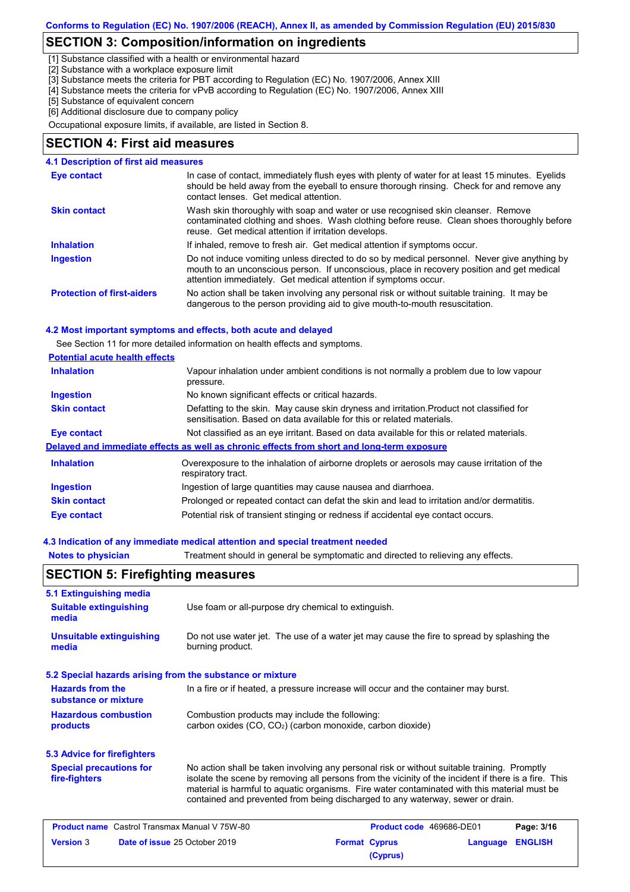# **SECTION 3: Composition/information on ingredients**

[1] Substance classified with a health or environmental hazard

[2] Substance with a workplace exposure limit

[3] Substance meets the criteria for PBT according to Regulation (EC) No. 1907/2006, Annex XIII

[4] Substance meets the criteria for vPvB according to Regulation (EC) No. 1907/2006, Annex XIII

[5] Substance of equivalent concern

[6] Additional disclosure due to company policy

Occupational exposure limits, if available, are listed in Section 8.

#### **SECTION 4: First aid measures**

| <b>4.1 Description of first aid measures</b> |                                                                                                                                                                                                                                                               |
|----------------------------------------------|---------------------------------------------------------------------------------------------------------------------------------------------------------------------------------------------------------------------------------------------------------------|
| Eye contact                                  | In case of contact, immediately flush eyes with plenty of water for at least 15 minutes. Eyelids<br>should be held away from the eyeball to ensure thorough rinsing. Check for and remove any<br>contact lenses. Get medical attention.                       |
| <b>Skin contact</b>                          | Wash skin thoroughly with soap and water or use recognised skin cleanser. Remove<br>contaminated clothing and shoes. Wash clothing before reuse. Clean shoes thoroughly before<br>reuse. Get medical attention if irritation develops.                        |
| <b>Inhalation</b>                            | If inhaled, remove to fresh air. Get medical attention if symptoms occur.                                                                                                                                                                                     |
| <b>Ingestion</b>                             | Do not induce vomiting unless directed to do so by medical personnel. Never give anything by<br>mouth to an unconscious person. If unconscious, place in recovery position and get medical<br>attention immediately. Get medical attention if symptoms occur. |
| <b>Protection of first-aiders</b>            | No action shall be taken involving any personal risk or without suitable training. It may be<br>dangerous to the person providing aid to give mouth-to-mouth resuscitation.                                                                                   |

#### **4.2 Most important symptoms and effects, both acute and delayed**

See Section 11 for more detailed information on health effects and symptoms.

| <b>Potential acute health effects</b> |                                                                                                                                                                   |
|---------------------------------------|-------------------------------------------------------------------------------------------------------------------------------------------------------------------|
| <b>Inhalation</b>                     | Vapour inhalation under ambient conditions is not normally a problem due to low vapour<br>pressure.                                                               |
| <b>Ingestion</b>                      | No known significant effects or critical hazards.                                                                                                                 |
| <b>Skin contact</b>                   | Defatting to the skin. May cause skin dryness and irritation. Product not classified for<br>sensitisation. Based on data available for this or related materials. |
| Eye contact                           | Not classified as an eye irritant. Based on data available for this or related materials.                                                                         |
|                                       | Delayed and immediate effects as well as chronic effects from short and long-term exposure                                                                        |
| <b>Inhalation</b>                     | Overexposure to the inhalation of airborne droplets or aerosols may cause irritation of the<br>respiratory tract.                                                 |
| <b>Ingestion</b>                      | Ingestion of large quantities may cause nausea and diarrhoea.                                                                                                     |
| <b>Skin contact</b>                   | Prolonged or repeated contact can defat the skin and lead to irritation and/or dermatitis.                                                                        |
| Eye contact                           | Potential risk of transient stinging or redness if accidental eye contact occurs.                                                                                 |

#### **4.3 Indication of any immediate medical attention and special treatment needed**

**Notes to physician** Treatment should in general be symptomatic and directed to relieving any effects.

## **SECTION 5: Firefighting measures**

| 5.1 Extinguishing media                                   |                                                                                                                                                                                                                                                                                                                                                                                       |                      |                          |          |                |
|-----------------------------------------------------------|---------------------------------------------------------------------------------------------------------------------------------------------------------------------------------------------------------------------------------------------------------------------------------------------------------------------------------------------------------------------------------------|----------------------|--------------------------|----------|----------------|
| <b>Suitable extinguishing</b><br>media                    | Use foam or all-purpose dry chemical to extinguish.                                                                                                                                                                                                                                                                                                                                   |                      |                          |          |                |
| <b>Unsuitable extinguishing</b><br>media                  | Do not use water jet. The use of a water jet may cause the fire to spread by splashing the<br>burning product.                                                                                                                                                                                                                                                                        |                      |                          |          |                |
| 5.2 Special hazards arising from the substance or mixture |                                                                                                                                                                                                                                                                                                                                                                                       |                      |                          |          |                |
| <b>Hazards from the</b><br>substance or mixture           | In a fire or if heated, a pressure increase will occur and the container may burst.                                                                                                                                                                                                                                                                                                   |                      |                          |          |                |
| <b>Hazardous combustion</b><br>products                   | Combustion products may include the following:<br>carbon oxides (CO, CO <sub>2</sub> ) (carbon monoxide, carbon dioxide)                                                                                                                                                                                                                                                              |                      |                          |          |                |
| 5.3 Advice for firefighters                               |                                                                                                                                                                                                                                                                                                                                                                                       |                      |                          |          |                |
| <b>Special precautions for</b><br>fire-fighters           | No action shall be taken involving any personal risk or without suitable training. Promptly<br>isolate the scene by removing all persons from the vicinity of the incident if there is a fire. This<br>material is harmful to aquatic organisms. Fire water contaminated with this material must be<br>contained and prevented from being discharged to any waterway, sewer or drain. |                      |                          |          |                |
| <b>Product name</b> Castrol Transmax Manual V 75W-80      |                                                                                                                                                                                                                                                                                                                                                                                       |                      | Product code 469686-DE01 |          | Page: 3/16     |
| <b>Version 3</b>                                          | Date of issue 25 October 2019                                                                                                                                                                                                                                                                                                                                                         | <b>Format Cyprus</b> |                          | Language | <b>ENGLISH</b> |

**(Cyprus)**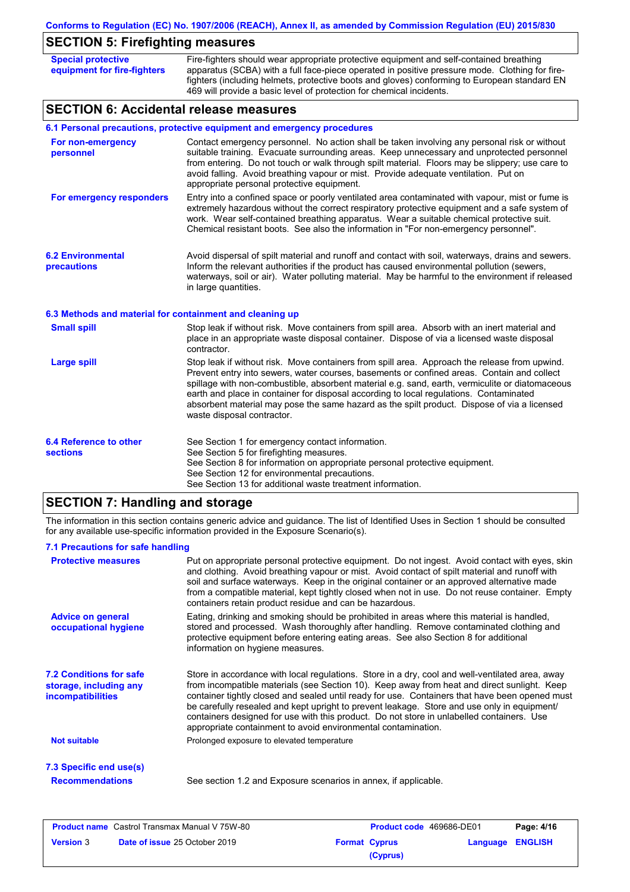| <b>SECTION 5: Firefighting measures</b>                  |                                                                                                                                                                                                                                                                                                                                                                                                                                                                                                                       |
|----------------------------------------------------------|-----------------------------------------------------------------------------------------------------------------------------------------------------------------------------------------------------------------------------------------------------------------------------------------------------------------------------------------------------------------------------------------------------------------------------------------------------------------------------------------------------------------------|
| <b>Special protective</b><br>equipment for fire-fighters | Fire-fighters should wear appropriate protective equipment and self-contained breathing<br>apparatus (SCBA) with a full face-piece operated in positive pressure mode. Clothing for fire-<br>fighters (including helmets, protective boots and gloves) conforming to European standard EN<br>469 will provide a basic level of protection for chemical incidents.                                                                                                                                                     |
| <b>SECTION 6: Accidental release measures</b>            |                                                                                                                                                                                                                                                                                                                                                                                                                                                                                                                       |
|                                                          | 6.1 Personal precautions, protective equipment and emergency procedures                                                                                                                                                                                                                                                                                                                                                                                                                                               |
| For non-emergency<br>personnel                           | Contact emergency personnel. No action shall be taken involving any personal risk or without<br>suitable training. Evacuate surrounding areas. Keep unnecessary and unprotected personnel<br>from entering. Do not touch or walk through spilt material. Floors may be slippery; use care to<br>avoid falling. Avoid breathing vapour or mist. Provide adequate ventilation. Put on<br>appropriate personal protective equipment.                                                                                     |
| For emergency responders                                 | Entry into a confined space or poorly ventilated area contaminated with vapour, mist or fume is<br>extremely hazardous without the correct respiratory protective equipment and a safe system of<br>work. Wear self-contained breathing apparatus. Wear a suitable chemical protective suit.<br>Chemical resistant boots. See also the information in "For non-emergency personnel".                                                                                                                                  |
| <b>6.2 Environmental</b><br>precautions                  | Avoid dispersal of spilt material and runoff and contact with soil, waterways, drains and sewers.<br>Inform the relevant authorities if the product has caused environmental pollution (sewers,<br>waterways, soil or air). Water polluting material. May be harmful to the environment if released<br>in large quantities.                                                                                                                                                                                           |
| 6.3 Methods and material for containment and cleaning up |                                                                                                                                                                                                                                                                                                                                                                                                                                                                                                                       |
| <b>Small spill</b>                                       | Stop leak if without risk. Move containers from spill area. Absorb with an inert material and<br>place in an appropriate waste disposal container. Dispose of via a licensed waste disposal<br>contractor.                                                                                                                                                                                                                                                                                                            |
| <b>Large spill</b>                                       | Stop leak if without risk. Move containers from spill area. Approach the release from upwind.<br>Prevent entry into sewers, water courses, basements or confined areas. Contain and collect<br>spillage with non-combustible, absorbent material e.g. sand, earth, vermiculite or diatomaceous<br>earth and place in container for disposal according to local regulations. Contaminated<br>absorbent material may pose the same hazard as the spilt product. Dispose of via a licensed<br>waste disposal contractor. |
| <b>6.4 Reference to other</b><br><b>sections</b>         | See Section 1 for emergency contact information.<br>See Section 5 for firefighting measures.<br>See Section 8 for information on appropriate personal protective equipment.<br>See Section 12 for environmental precautions.                                                                                                                                                                                                                                                                                          |

### See Section 13 for additional waste treatment information.

# **SECTION 7: Handling and storage**

The information in this section contains generic advice and guidance. The list of Identified Uses in Section 1 should be consulted for any available use-specific information provided in the Exposure Scenario(s).

#### **7.1 Precautions for safe handling**

| Put on appropriate personal protective equipment. Do not ingest. Avoid contact with eyes, skin<br>and clothing. Avoid breathing vapour or mist. Avoid contact of spilt material and runoff with<br>soil and surface waterways. Keep in the original container or an approved alternative made<br>from a compatible material, kept tightly closed when not in use. Do not reuse container. Empty<br>containers retain product residue and can be hazardous.                                                                                                    |
|---------------------------------------------------------------------------------------------------------------------------------------------------------------------------------------------------------------------------------------------------------------------------------------------------------------------------------------------------------------------------------------------------------------------------------------------------------------------------------------------------------------------------------------------------------------|
| Eating, drinking and smoking should be prohibited in areas where this material is handled,<br>stored and processed. Wash thoroughly after handling. Remove contaminated clothing and<br>protective equipment before entering eating areas. See also Section 8 for additional<br>information on hygiene measures.                                                                                                                                                                                                                                              |
| Store in accordance with local regulations. Store in a dry, cool and well-ventilated area, away<br>from incompatible materials (see Section 10). Keep away from heat and direct sunlight. Keep<br>container tightly closed and sealed until ready for use. Containers that have been opened must<br>be carefully resealed and kept upright to prevent leakage. Store and use only in equipment/<br>containers designed for use with this product. Do not store in unlabelled containers. Use<br>appropriate containment to avoid environmental contamination. |
| Prolonged exposure to elevated temperature                                                                                                                                                                                                                                                                                                                                                                                                                                                                                                                    |
|                                                                                                                                                                                                                                                                                                                                                                                                                                                                                                                                                               |
| See section 1.2 and Exposure scenarios in annex, if applicable.                                                                                                                                                                                                                                                                                                                                                                                                                                                                                               |
|                                                                                                                                                                                                                                                                                                                                                                                                                                                                                                                                                               |

| <b>Product name</b> Castrol Transmax Manual V 75W-80 |                                      | <b>Product code</b> 469686-DE01 |                      | Page: 4/16       |  |
|------------------------------------------------------|--------------------------------------|---------------------------------|----------------------|------------------|--|
| <b>Version 3</b>                                     | <b>Date of issue 25 October 2019</b> |                                 | <b>Format Cyprus</b> | Language ENGLISH |  |
|                                                      |                                      |                                 | (Cyprus)             |                  |  |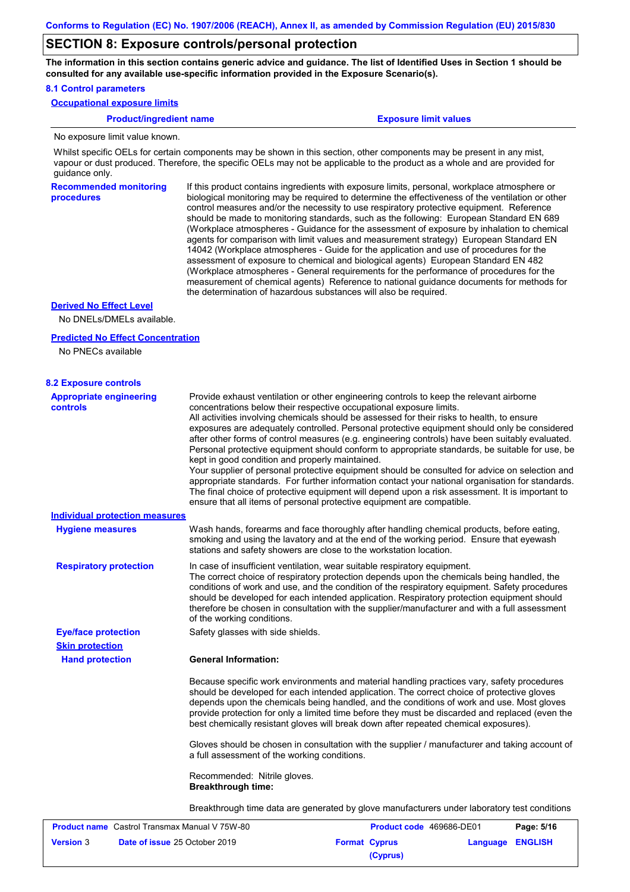### **SECTION 8: Exposure controls/personal protection**

**The information in this section contains generic advice and guidance. The list of Identified Uses in Section 1 should be consulted for any available use-specific information provided in the Exposure Scenario(s).**

#### **8.1 Control parameters**

**Occupational exposure limits**

#### **Product/ingredient name Exposure limit values**

No exposure limit value known.

Whilst specific OELs for certain components may be shown in this section, other components may be present in any mist, vapour or dust produced. Therefore, the specific OELs may not be applicable to the product as a whole and are provided for guidance only.

**Recommended monitoring procedures** If this product contains ingredients with exposure limits, personal, workplace atmosphere or biological monitoring may be required to determine the effectiveness of the ventilation or other control measures and/or the necessity to use respiratory protective equipment. Reference should be made to monitoring standards, such as the following: European Standard EN 689 (Workplace atmospheres - Guidance for the assessment of exposure by inhalation to chemical agents for comparison with limit values and measurement strategy) European Standard EN 14042 (Workplace atmospheres - Guide for the application and use of procedures for the assessment of exposure to chemical and biological agents) European Standard EN 482 (Workplace atmospheres - General requirements for the performance of procedures for the measurement of chemical agents) Reference to national guidance documents for methods for the determination of hazardous substances will also be required.

#### **Derived No Effect Level**

No DNELs/DMELs available.

#### **Predicted No Effect Concentration**

No PNECs available

| <b>8.2 Exposure controls</b>                         |                                                                                                                                                                                                                                                                                                                                                                                                                                                                                                                                                                                                                                                                                                                                                                                                                                                                                                                                                                                                         |
|------------------------------------------------------|---------------------------------------------------------------------------------------------------------------------------------------------------------------------------------------------------------------------------------------------------------------------------------------------------------------------------------------------------------------------------------------------------------------------------------------------------------------------------------------------------------------------------------------------------------------------------------------------------------------------------------------------------------------------------------------------------------------------------------------------------------------------------------------------------------------------------------------------------------------------------------------------------------------------------------------------------------------------------------------------------------|
| <b>Appropriate engineering</b><br><b>controls</b>    | Provide exhaust ventilation or other engineering controls to keep the relevant airborne<br>concentrations below their respective occupational exposure limits.<br>All activities involving chemicals should be assessed for their risks to health, to ensure<br>exposures are adequately controlled. Personal protective equipment should only be considered<br>after other forms of control measures (e.g. engineering controls) have been suitably evaluated.<br>Personal protective equipment should conform to appropriate standards, be suitable for use, be<br>kept in good condition and properly maintained.<br>Your supplier of personal protective equipment should be consulted for advice on selection and<br>appropriate standards. For further information contact your national organisation for standards.<br>The final choice of protective equipment will depend upon a risk assessment. It is important to<br>ensure that all items of personal protective equipment are compatible. |
| <b>Individual protection measures</b>                |                                                                                                                                                                                                                                                                                                                                                                                                                                                                                                                                                                                                                                                                                                                                                                                                                                                                                                                                                                                                         |
| <b>Hygiene measures</b>                              | Wash hands, forearms and face thoroughly after handling chemical products, before eating,<br>smoking and using the lavatory and at the end of the working period. Ensure that eyewash<br>stations and safety showers are close to the workstation location.                                                                                                                                                                                                                                                                                                                                                                                                                                                                                                                                                                                                                                                                                                                                             |
| <b>Respiratory protection</b>                        | In case of insufficient ventilation, wear suitable respiratory equipment.<br>The correct choice of respiratory protection depends upon the chemicals being handled, the<br>conditions of work and use, and the condition of the respiratory equipment. Safety procedures<br>should be developed for each intended application. Respiratory protection equipment should<br>therefore be chosen in consultation with the supplier/manufacturer and with a full assessment<br>of the working conditions.                                                                                                                                                                                                                                                                                                                                                                                                                                                                                                   |
| <b>Eye/face protection</b>                           | Safety glasses with side shields.                                                                                                                                                                                                                                                                                                                                                                                                                                                                                                                                                                                                                                                                                                                                                                                                                                                                                                                                                                       |
| <b>Skin protection</b>                               |                                                                                                                                                                                                                                                                                                                                                                                                                                                                                                                                                                                                                                                                                                                                                                                                                                                                                                                                                                                                         |
| <b>Hand protection</b>                               | <b>General Information:</b>                                                                                                                                                                                                                                                                                                                                                                                                                                                                                                                                                                                                                                                                                                                                                                                                                                                                                                                                                                             |
|                                                      | Because specific work environments and material handling practices vary, safety procedures<br>should be developed for each intended application. The correct choice of protective gloves<br>depends upon the chemicals being handled, and the conditions of work and use. Most gloves<br>provide protection for only a limited time before they must be discarded and replaced (even the<br>best chemically resistant gloves will break down after repeated chemical exposures).                                                                                                                                                                                                                                                                                                                                                                                                                                                                                                                        |
|                                                      | Gloves should be chosen in consultation with the supplier / manufacturer and taking account of<br>a full assessment of the working conditions.                                                                                                                                                                                                                                                                                                                                                                                                                                                                                                                                                                                                                                                                                                                                                                                                                                                          |
|                                                      | Recommended: Nitrile gloves.<br><b>Breakthrough time:</b>                                                                                                                                                                                                                                                                                                                                                                                                                                                                                                                                                                                                                                                                                                                                                                                                                                                                                                                                               |
|                                                      | Breakthrough time data are generated by glove manufacturers under laboratory test conditions                                                                                                                                                                                                                                                                                                                                                                                                                                                                                                                                                                                                                                                                                                                                                                                                                                                                                                            |
| <b>Product name</b> Castrol Transmax Manual V 75W-80 | Page: 5/16<br><b>Product code</b> 469686-DE01                                                                                                                                                                                                                                                                                                                                                                                                                                                                                                                                                                                                                                                                                                                                                                                                                                                                                                                                                           |
| <b>Version</b> 3                                     | <b>Date of issue 25 October 2019</b><br><b>Format Cyprus</b><br>Language ENGLISH                                                                                                                                                                                                                                                                                                                                                                                                                                                                                                                                                                                                                                                                                                                                                                                                                                                                                                                        |

**Version** 3 **Date of issue** 25 October 2019 **Format Cyprus Language ENGLISH (Cyprus)**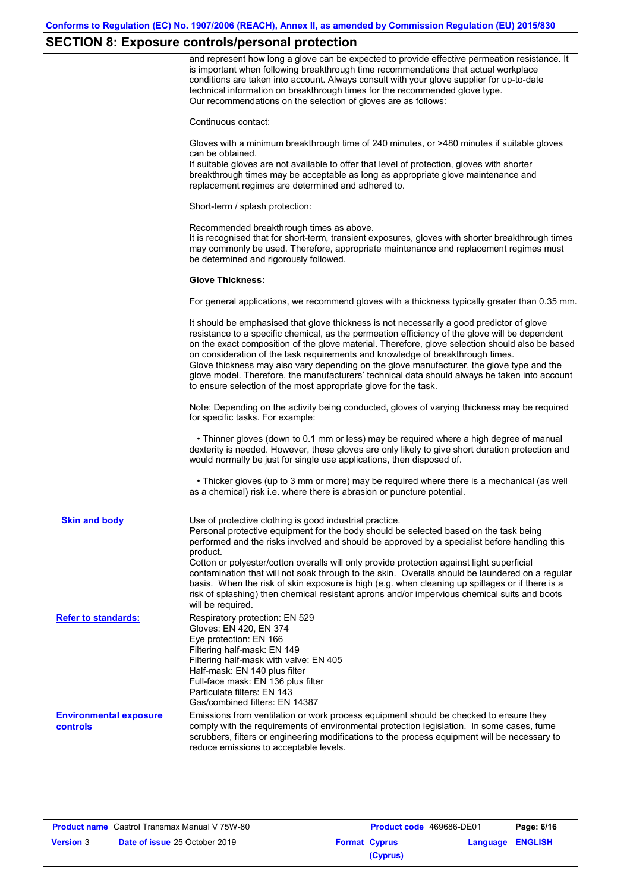# **SECTION 8: Exposure controls/personal protection**

|                                           | and represent how long a glove can be expected to provide effective permeation resistance. It<br>is important when following breakthrough time recommendations that actual workplace<br>conditions are taken into account. Always consult with your glove supplier for up-to-date<br>technical information on breakthrough times for the recommended glove type.<br>Our recommendations on the selection of gloves are as follows:                                                                                                                                                                                                                |
|-------------------------------------------|---------------------------------------------------------------------------------------------------------------------------------------------------------------------------------------------------------------------------------------------------------------------------------------------------------------------------------------------------------------------------------------------------------------------------------------------------------------------------------------------------------------------------------------------------------------------------------------------------------------------------------------------------|
|                                           | Continuous contact:                                                                                                                                                                                                                                                                                                                                                                                                                                                                                                                                                                                                                               |
|                                           | Gloves with a minimum breakthrough time of 240 minutes, or >480 minutes if suitable gloves<br>can be obtained.<br>If suitable gloves are not available to offer that level of protection, gloves with shorter                                                                                                                                                                                                                                                                                                                                                                                                                                     |
|                                           | breakthrough times may be acceptable as long as appropriate glove maintenance and<br>replacement regimes are determined and adhered to.                                                                                                                                                                                                                                                                                                                                                                                                                                                                                                           |
|                                           | Short-term / splash protection:                                                                                                                                                                                                                                                                                                                                                                                                                                                                                                                                                                                                                   |
|                                           | Recommended breakthrough times as above.<br>It is recognised that for short-term, transient exposures, gloves with shorter breakthrough times<br>may commonly be used. Therefore, appropriate maintenance and replacement regimes must<br>be determined and rigorously followed.                                                                                                                                                                                                                                                                                                                                                                  |
|                                           | <b>Glove Thickness:</b>                                                                                                                                                                                                                                                                                                                                                                                                                                                                                                                                                                                                                           |
|                                           | For general applications, we recommend gloves with a thickness typically greater than 0.35 mm.                                                                                                                                                                                                                                                                                                                                                                                                                                                                                                                                                    |
|                                           | It should be emphasised that glove thickness is not necessarily a good predictor of glove<br>resistance to a specific chemical, as the permeation efficiency of the glove will be dependent<br>on the exact composition of the glove material. Therefore, glove selection should also be based<br>on consideration of the task requirements and knowledge of breakthrough times.<br>Glove thickness may also vary depending on the glove manufacturer, the glove type and the<br>glove model. Therefore, the manufacturers' technical data should always be taken into account<br>to ensure selection of the most appropriate glove for the task. |
|                                           | Note: Depending on the activity being conducted, gloves of varying thickness may be required<br>for specific tasks. For example:                                                                                                                                                                                                                                                                                                                                                                                                                                                                                                                  |
|                                           | • Thinner gloves (down to 0.1 mm or less) may be required where a high degree of manual<br>dexterity is needed. However, these gloves are only likely to give short duration protection and<br>would normally be just for single use applications, then disposed of.                                                                                                                                                                                                                                                                                                                                                                              |
|                                           | • Thicker gloves (up to 3 mm or more) may be required where there is a mechanical (as well<br>as a chemical) risk i.e. where there is abrasion or puncture potential.                                                                                                                                                                                                                                                                                                                                                                                                                                                                             |
| <b>Skin and body</b>                      | Use of protective clothing is good industrial practice.<br>Personal protective equipment for the body should be selected based on the task being<br>performed and the risks involved and should be approved by a specialist before handling this<br>product.                                                                                                                                                                                                                                                                                                                                                                                      |
|                                           | Cotton or polyester/cotton overalls will only provide protection against light superficial<br>contamination that will not soak through to the skin. Overalls should be laundered on a regular<br>basis. When the risk of skin exposure is high (e.g. when cleaning up spillages or if there is a<br>risk of splashing) then chemical resistant aprons and/or impervious chemical suits and boots<br>will be required.                                                                                                                                                                                                                             |
| <b>Refer to standards:</b>                | Respiratory protection: EN 529<br>Gloves: EN 420, EN 374<br>Eye protection: EN 166<br>Filtering half-mask: EN 149<br>Filtering half-mask with valve: EN 405<br>Half-mask: EN 140 plus filter<br>Full-face mask: EN 136 plus filter<br>Particulate filters: EN 143<br>Gas/combined filters: EN 14387                                                                                                                                                                                                                                                                                                                                               |
| <b>Environmental exposure</b><br>controls | Emissions from ventilation or work process equipment should be checked to ensure they<br>comply with the requirements of environmental protection legislation. In some cases, fume<br>scrubbers, filters or engineering modifications to the process equipment will be necessary to<br>reduce emissions to acceptable levels.                                                                                                                                                                                                                                                                                                                     |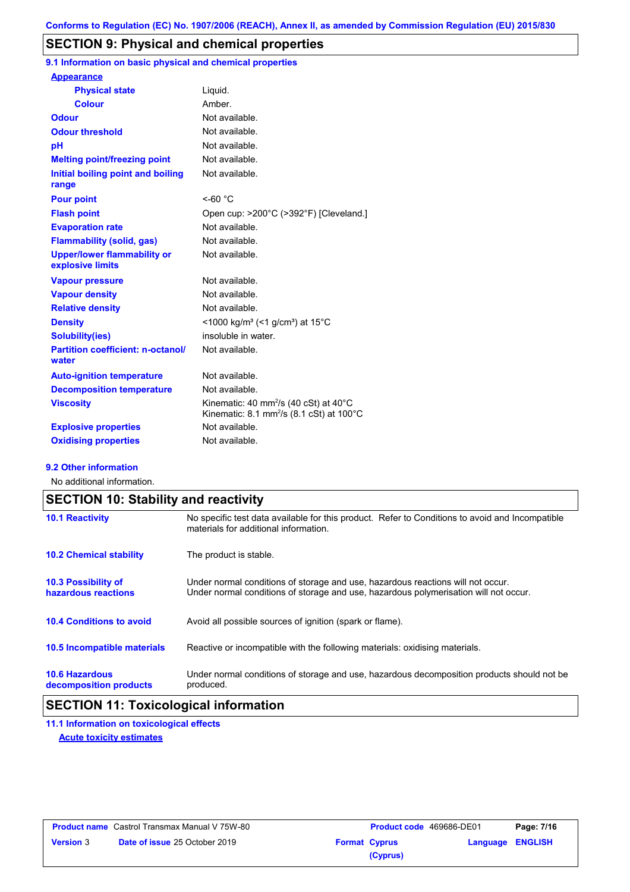# **SECTION 9: Physical and chemical properties**

**9.1 Information on basic physical and chemical properties**

| <b>Appearance</b>                                      |                                                                                                                |
|--------------------------------------------------------|----------------------------------------------------------------------------------------------------------------|
| <b>Physical state</b>                                  | Liquid.                                                                                                        |
| <b>Colour</b>                                          | Amber.                                                                                                         |
| <b>Odour</b>                                           | Not available.                                                                                                 |
| <b>Odour threshold</b>                                 | Not available.                                                                                                 |
| pH                                                     | Not available.                                                                                                 |
| <b>Melting point/freezing point</b>                    | Not available.                                                                                                 |
| Initial boiling point and boiling<br>range             | Not available.                                                                                                 |
| <b>Pour point</b>                                      | $<$ -60 °C                                                                                                     |
| <b>Flash point</b>                                     | Open cup: >200°C (>392°F) [Cleveland.]                                                                         |
| <b>Evaporation rate</b>                                | Not available.                                                                                                 |
| <b>Flammability (solid, gas)</b>                       | Not available.                                                                                                 |
| <b>Upper/lower flammability or</b><br>explosive limits | Not available.                                                                                                 |
| <b>Vapour pressure</b>                                 | Not available.                                                                                                 |
| <b>Vapour density</b>                                  | Not available.                                                                                                 |
| <b>Relative density</b>                                | Not available.                                                                                                 |
| <b>Density</b>                                         | <1000 kg/m <sup>3</sup> (<1 g/cm <sup>3</sup> ) at 15 <sup>°</sup> C                                           |
| <b>Solubility(ies)</b>                                 | insoluble in water.                                                                                            |
| <b>Partition coefficient: n-octanol/</b><br>water      | Not available.                                                                                                 |
| <b>Auto-ignition temperature</b>                       | Not available.                                                                                                 |
| <b>Decomposition temperature</b>                       | Not available.                                                                                                 |
| <b>Viscosity</b>                                       | Kinematic: 40 mm <sup>2</sup> /s (40 cSt) at 40°C<br>Kinematic: $8.1 \text{ mm}^2/\text{s}$ (8.1 cSt) at 100°C |
| <b>Explosive properties</b>                            | Not available.                                                                                                 |
| <b>Oxidising properties</b>                            | Not available.                                                                                                 |

#### **9.2 Other information**

No additional information.

|                                                   | <b>SECTION 10: Stability and reactivity</b>                                                                                                                             |  |  |  |
|---------------------------------------------------|-------------------------------------------------------------------------------------------------------------------------------------------------------------------------|--|--|--|
| <b>10.1 Reactivity</b>                            | No specific test data available for this product. Refer to Conditions to avoid and Incompatible<br>materials for additional information.                                |  |  |  |
| <b>10.2 Chemical stability</b>                    | The product is stable.                                                                                                                                                  |  |  |  |
| <b>10.3 Possibility of</b><br>hazardous reactions | Under normal conditions of storage and use, hazardous reactions will not occur.<br>Under normal conditions of storage and use, hazardous polymerisation will not occur. |  |  |  |
| <b>10.4 Conditions to avoid</b>                   | Avoid all possible sources of ignition (spark or flame).                                                                                                                |  |  |  |
| 10.5 Incompatible materials                       | Reactive or incompatible with the following materials: oxidising materials.                                                                                             |  |  |  |
| <b>10.6 Hazardous</b><br>decomposition products   | Under normal conditions of storage and use, hazardous decomposition products should not be<br>produced.                                                                 |  |  |  |

# **SECTION 11: Toxicological information**

**11.1 Information on toxicological effects Acute toxicity estimates**

| <b>Product name</b> Castrol Transmax Manual V 75W-80 |                                      | <b>Product code</b> 469686-DE01 |                      | Page: 7/16       |  |
|------------------------------------------------------|--------------------------------------|---------------------------------|----------------------|------------------|--|
| <b>Version 3</b>                                     | <b>Date of issue 25 October 2019</b> |                                 | <b>Format Cyprus</b> | Language ENGLISH |  |
|                                                      |                                      |                                 | (Cyprus)             |                  |  |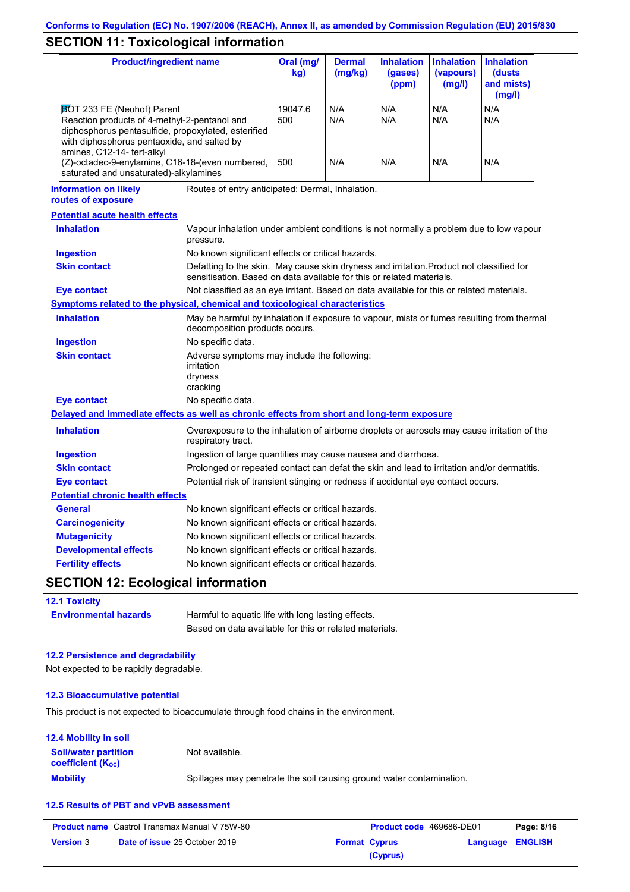# **SECTION 11: Toxicological information**

| <b>Product/ingredient name</b>                                                                                                                                                                                 |                                                                                                                                                                   | Oral (mg/<br>kg) | <b>Dermal</b><br>(mg/kg)                          | <b>Inhalation</b><br>(gases)<br>(ppm) | <b>Inhalation</b><br>(vapours)<br>(mg/l) | <b>Inhalation</b><br>(dusts)<br>and mists)<br>(mg/l) |
|----------------------------------------------------------------------------------------------------------------------------------------------------------------------------------------------------------------|-------------------------------------------------------------------------------------------------------------------------------------------------------------------|------------------|---------------------------------------------------|---------------------------------------|------------------------------------------|------------------------------------------------------|
| BOT 233 FE (Neuhof) Parent<br>Reaction products of 4-methyl-2-pentanol and<br>diphosphorus pentasulfide, propoxylated, esterified<br>with diphosphorus pentaoxide, and salted by<br>amines, C12-14- tert-alkyl |                                                                                                                                                                   | 19047.6<br>500   | N/A<br>N/A                                        | N/A<br>N/A                            | N/A<br>N/A                               | N/A<br>N/A                                           |
| (Z)-octadec-9-enylamine, C16-18-(even numbered,<br>saturated and unsaturated)-alkylamines                                                                                                                      |                                                                                                                                                                   | 500              | N/A                                               | N/A                                   | N/A                                      | N/A                                                  |
| <b>Information on likely</b><br>routes of exposure                                                                                                                                                             | Routes of entry anticipated: Dermal, Inhalation.                                                                                                                  |                  |                                                   |                                       |                                          |                                                      |
| <b>Potential acute health effects</b>                                                                                                                                                                          |                                                                                                                                                                   |                  |                                                   |                                       |                                          |                                                      |
| <b>Inhalation</b>                                                                                                                                                                                              | Vapour inhalation under ambient conditions is not normally a problem due to low vapour<br>pressure.                                                               |                  |                                                   |                                       |                                          |                                                      |
| <b>Ingestion</b>                                                                                                                                                                                               | No known significant effects or critical hazards.                                                                                                                 |                  |                                                   |                                       |                                          |                                                      |
| <b>Skin contact</b>                                                                                                                                                                                            | Defatting to the skin. May cause skin dryness and irritation. Product not classified for<br>sensitisation. Based on data available for this or related materials. |                  |                                                   |                                       |                                          |                                                      |
| <b>Eye contact</b>                                                                                                                                                                                             | Not classified as an eye irritant. Based on data available for this or related materials.                                                                         |                  |                                                   |                                       |                                          |                                                      |
| Symptoms related to the physical, chemical and toxicological characteristics                                                                                                                                   |                                                                                                                                                                   |                  |                                                   |                                       |                                          |                                                      |
| <b>Inhalation</b>                                                                                                                                                                                              | May be harmful by inhalation if exposure to vapour, mists or fumes resulting from thermal<br>decomposition products occurs.                                       |                  |                                                   |                                       |                                          |                                                      |
| <b>Ingestion</b>                                                                                                                                                                                               | No specific data.                                                                                                                                                 |                  |                                                   |                                       |                                          |                                                      |
| <b>Skin contact</b>                                                                                                                                                                                            | Adverse symptoms may include the following:<br>irritation<br>dryness<br>cracking                                                                                  |                  |                                                   |                                       |                                          |                                                      |
| <b>Eye contact</b>                                                                                                                                                                                             | No specific data.                                                                                                                                                 |                  |                                                   |                                       |                                          |                                                      |
| Delayed and immediate effects as well as chronic effects from short and long-term exposure                                                                                                                     |                                                                                                                                                                   |                  |                                                   |                                       |                                          |                                                      |
| <b>Inhalation</b>                                                                                                                                                                                              | Overexposure to the inhalation of airborne droplets or aerosols may cause irritation of the<br>respiratory tract.                                                 |                  |                                                   |                                       |                                          |                                                      |
| <b>Ingestion</b>                                                                                                                                                                                               | Ingestion of large quantities may cause nausea and diarrhoea.                                                                                                     |                  |                                                   |                                       |                                          |                                                      |
| <b>Skin contact</b>                                                                                                                                                                                            | Prolonged or repeated contact can defat the skin and lead to irritation and/or dermatitis.                                                                        |                  |                                                   |                                       |                                          |                                                      |
| Eye contact                                                                                                                                                                                                    | Potential risk of transient stinging or redness if accidental eye contact occurs.                                                                                 |                  |                                                   |                                       |                                          |                                                      |
| <b>Potential chronic health effects</b>                                                                                                                                                                        |                                                                                                                                                                   |                  |                                                   |                                       |                                          |                                                      |
| General                                                                                                                                                                                                        | No known significant effects or critical hazards.                                                                                                                 |                  |                                                   |                                       |                                          |                                                      |
| <b>Carcinogenicity</b>                                                                                                                                                                                         | No known significant effects or critical hazards.                                                                                                                 |                  |                                                   |                                       |                                          |                                                      |
| <b>Mutagenicity</b>                                                                                                                                                                                            | No known significant effects or critical hazards.                                                                                                                 |                  |                                                   |                                       |                                          |                                                      |
| <b>Developmental effects</b>                                                                                                                                                                                   | No known significant effects or critical hazards.                                                                                                                 |                  |                                                   |                                       |                                          |                                                      |
| <b>Fertility effects</b>                                                                                                                                                                                       |                                                                                                                                                                   |                  | No known significant effects or critical hazards. |                                       |                                          |                                                      |

## **SECTION 12: Ecological information**

**12.1 Toxicity**

| <b>Environmental hazards</b> | Harmful to aquatic life with long lasting effects.     |  |  |  |
|------------------------------|--------------------------------------------------------|--|--|--|
|                              | Based on data available for this or related materials. |  |  |  |

#### **12.2 Persistence and degradability**

Not expected to be rapidly degradable.

#### **12.3 Bioaccumulative potential**

This product is not expected to bioaccumulate through food chains in the environment.

#### **Mobility** Spillages may penetrate the soil causing ground water contamination. **12.4 Mobility in soil Soil/water partition coefficient (KOC)** Not available.

### **12.5 Results of PBT and vPvB assessment**

| <b>Product name</b> Castrol Transmax Manual V 75W-80 |                                      |  | <b>Product code</b> 469686-DE01 | Page: 8/16       |  |
|------------------------------------------------------|--------------------------------------|--|---------------------------------|------------------|--|
| <b>Version 3</b>                                     | <b>Date of issue 25 October 2019</b> |  | <b>Format Cyprus</b>            | Language ENGLISH |  |
|                                                      |                                      |  | (Cyprus)                        |                  |  |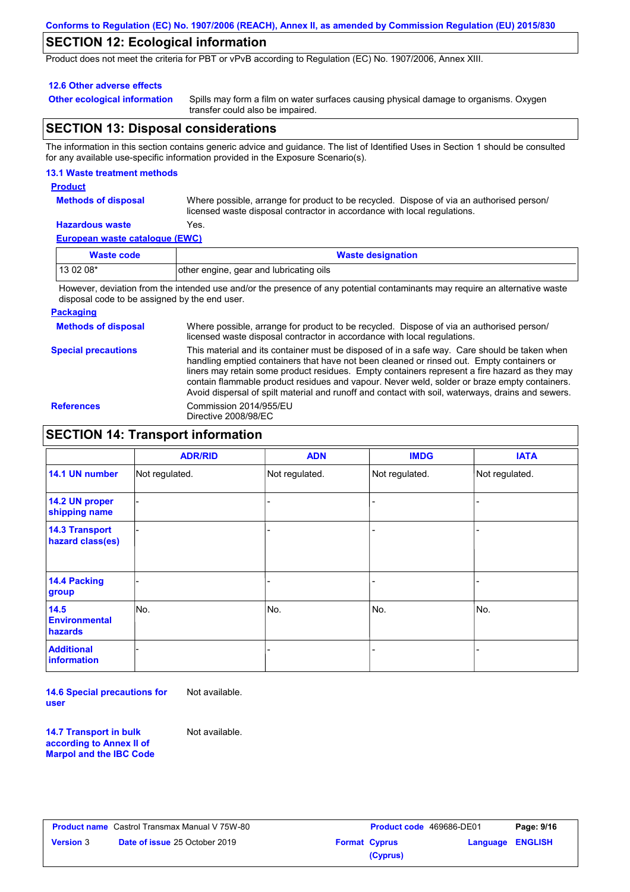## **SECTION 12: Ecological information**

Product does not meet the criteria for PBT or vPvB according to Regulation (EC) No. 1907/2006, Annex XIII.

#### **12.6 Other adverse effects**

**Other ecological information**

Spills may form a film on water surfaces causing physical damage to organisms. Oxygen transfer could also be impaired.

# **SECTION 13: Disposal considerations**

The information in this section contains generic advice and guidance. The list of Identified Uses in Section 1 should be consulted for any available use-specific information provided in the Exposure Scenario(s).

#### **13.1 Waste treatment methods**

**Product**

**Methods of disposal**

Where possible, arrange for product to be recycled. Dispose of via an authorised person/ licensed waste disposal contractor in accordance with local regulations.

#### **European waste catalogue (EWC) Hazardous waste** Yes.

| Waste code | <b>Waste designation</b>                |
|------------|-----------------------------------------|
| $130208*$  | other engine, gear and lubricating oils |

However, deviation from the intended use and/or the presence of any potential contaminants may require an alternative waste disposal code to be assigned by the end user.

#### **Packaging**

**Methods of disposal Special precautions** Where possible, arrange for product to be recycled. Dispose of via an authorised person/ licensed waste disposal contractor in accordance with local regulations. This material and its container must be disposed of in a safe way. Care should be taken when handling emptied containers that have not been cleaned or rinsed out. Empty containers or liners may retain some product residues. Empty containers represent a fire hazard as they may contain flammable product residues and vapour. Never weld, solder or braze empty containers. Avoid dispersal of spilt material and runoff and contact with soil, waterways, drains and sewers. **References** Commission 2014/955/EU Directive 2008/98/EC

## **SECTION 14: Transport information**

|                                           | <b>ADR/RID</b> | <b>ADN</b>     | <b>IMDG</b>    | <b>IATA</b>    |
|-------------------------------------------|----------------|----------------|----------------|----------------|
| 14.1 UN number                            | Not regulated. | Not regulated. | Not regulated. | Not regulated. |
| 14.2 UN proper<br>shipping name           |                |                | -              |                |
| <b>14.3 Transport</b><br>hazard class(es) |                |                | -              |                |
| <b>14.4 Packing</b><br>group              |                |                | ۰              |                |
| 14.5<br><b>Environmental</b><br>hazards   | No.            | No.            | No.            | No.            |
| <b>Additional</b><br><b>information</b>   |                |                |                |                |

**14.6 Special precautions for user** Not available.

**14.7 Transport in bulk according to Annex II of Marpol and the IBC Code**

Not available.

|                  | <b>Product name</b> Castrol Transmax Manual V 75W-80 |
|------------------|------------------------------------------------------|
| <b>Version 3</b> | <b>Date of issue 25 October 2019</b>                 |

| Castrol Transmax Manual V 75W-80     |                      | <b>Product code</b> 469686-DE01 |                         | Page: 9/16 |
|--------------------------------------|----------------------|---------------------------------|-------------------------|------------|
| <b>Date of issue 25 October 2019</b> | <b>Format Cyprus</b> |                                 | <b>Language ENGLISH</b> |            |
|                                      |                      | (Cyprus)                        |                         |            |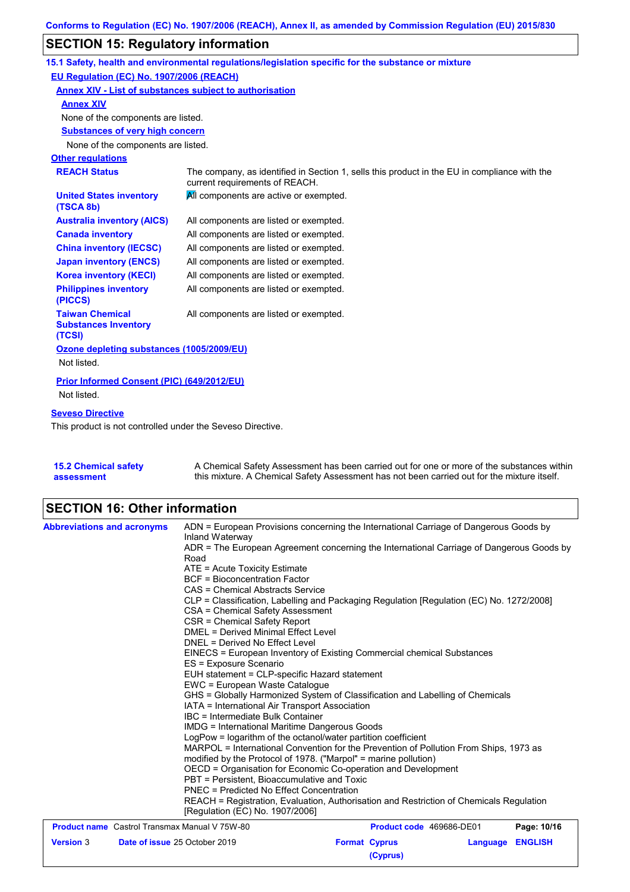# **SECTION 15: Regulatory information**

|                                                                 | 15.1 Safety, health and environmental regulations/legislation specific for the substance or mixture                            |  |
|-----------------------------------------------------------------|--------------------------------------------------------------------------------------------------------------------------------|--|
| EU Regulation (EC) No. 1907/2006 (REACH)                        |                                                                                                                                |  |
|                                                                 | Annex XIV - List of substances subject to authorisation                                                                        |  |
| <b>Annex XIV</b>                                                |                                                                                                                                |  |
| None of the components are listed.                              |                                                                                                                                |  |
| <b>Substances of very high concern</b>                          |                                                                                                                                |  |
| None of the components are listed.                              |                                                                                                                                |  |
| <b>Other regulations</b>                                        |                                                                                                                                |  |
| <b>REACH Status</b>                                             | The company, as identified in Section 1, sells this product in the EU in compliance with the<br>current requirements of REACH. |  |
| <b>United States inventory</b><br>(TSCA 8b)                     | All components are active or exempted.                                                                                         |  |
| <b>Australia inventory (AICS)</b>                               | All components are listed or exempted.                                                                                         |  |
| <b>Canada inventory</b>                                         | All components are listed or exempted.                                                                                         |  |
| <b>China inventory (IECSC)</b>                                  | All components are listed or exempted.                                                                                         |  |
| <b>Japan inventory (ENCS)</b>                                   | All components are listed or exempted.                                                                                         |  |
| <b>Korea inventory (KECI)</b>                                   | All components are listed or exempted.                                                                                         |  |
| <b>Philippines inventory</b><br>(PICCS)                         | All components are listed or exempted.                                                                                         |  |
| <b>Taiwan Chemical</b><br><b>Substances Inventory</b><br>(TCSI) | All components are listed or exempted.                                                                                         |  |
| Ozone depleting substances (1005/2009/EU)                       |                                                                                                                                |  |
| Not listed.                                                     |                                                                                                                                |  |
| Prior Informed Consent (PIC) (649/2012/EU)                      |                                                                                                                                |  |
| Not listed.                                                     |                                                                                                                                |  |
| <b>Seveso Directive</b>                                         |                                                                                                                                |  |
| This product is not controlled under the Seveso Directive.      |                                                                                                                                |  |

**15.2 Chemical safety assessment** A Chemical Safety Assessment has been carried out for one or more of the substances within this mixture. A Chemical Safety Assessment has not been carried out for the mixture itself.

# **SECTION 16: Other information**

| <b>Abbreviations and acronyms</b>                    | ADN = European Provisions concerning the International Carriage of Dangerous Goods by<br>Inland Waterway                                                                                                                                                                                              |                          |          |                |  |
|------------------------------------------------------|-------------------------------------------------------------------------------------------------------------------------------------------------------------------------------------------------------------------------------------------------------------------------------------------------------|--------------------------|----------|----------------|--|
|                                                      | ADR = The European Agreement concerning the International Carriage of Dangerous Goods by<br>Road                                                                                                                                                                                                      |                          |          |                |  |
|                                                      | ATE = Acute Toxicity Estimate                                                                                                                                                                                                                                                                         |                          |          |                |  |
|                                                      | <b>BCF</b> = Bioconcentration Factor                                                                                                                                                                                                                                                                  |                          |          |                |  |
|                                                      | CAS = Chemical Abstracts Service                                                                                                                                                                                                                                                                      |                          |          |                |  |
|                                                      | CLP = Classification, Labelling and Packaging Regulation [Regulation (EC) No. 1272/2008]                                                                                                                                                                                                              |                          |          |                |  |
|                                                      | CSA = Chemical Safety Assessment                                                                                                                                                                                                                                                                      |                          |          |                |  |
|                                                      | CSR = Chemical Safety Report<br><b>DMEL = Derived Minimal Effect Level</b>                                                                                                                                                                                                                            |                          |          |                |  |
|                                                      |                                                                                                                                                                                                                                                                                                       |                          |          |                |  |
|                                                      | DNEL = Derived No Effect Level                                                                                                                                                                                                                                                                        |                          |          |                |  |
|                                                      | EINECS = European Inventory of Existing Commercial chemical Substances                                                                                                                                                                                                                                |                          |          |                |  |
|                                                      | ES = Exposure Scenario                                                                                                                                                                                                                                                                                |                          |          |                |  |
|                                                      | EUH statement = CLP-specific Hazard statement                                                                                                                                                                                                                                                         |                          |          |                |  |
|                                                      | EWC = European Waste Catalogue                                                                                                                                                                                                                                                                        |                          |          |                |  |
|                                                      | GHS = Globally Harmonized System of Classification and Labelling of Chemicals                                                                                                                                                                                                                         |                          |          |                |  |
|                                                      | IATA = International Air Transport Association<br>IBC = Intermediate Bulk Container<br><b>IMDG = International Maritime Dangerous Goods</b><br>LogPow = logarithm of the octanol/water partition coefficient<br>MARPOL = International Convention for the Prevention of Pollution From Ships, 1973 as |                          |          |                |  |
|                                                      |                                                                                                                                                                                                                                                                                                       |                          |          |                |  |
|                                                      |                                                                                                                                                                                                                                                                                                       |                          |          |                |  |
|                                                      |                                                                                                                                                                                                                                                                                                       |                          |          |                |  |
|                                                      | modified by the Protocol of 1978. ("Marpol" = marine pollution)                                                                                                                                                                                                                                       |                          |          |                |  |
|                                                      | OECD = Organisation for Economic Co-operation and Development                                                                                                                                                                                                                                         |                          |          |                |  |
|                                                      | PBT = Persistent, Bioaccumulative and Toxic                                                                                                                                                                                                                                                           |                          |          |                |  |
|                                                      | <b>PNEC = Predicted No Effect Concentration</b>                                                                                                                                                                                                                                                       |                          |          |                |  |
|                                                      | REACH = Registration, Evaluation, Authorisation and Restriction of Chemicals Regulation<br>[Requlation (EC) No. 1907/2006]                                                                                                                                                                            |                          |          |                |  |
| <b>Product name</b> Castrol Transmax Manual V 75W-80 |                                                                                                                                                                                                                                                                                                       | Product code 469686-DE01 |          | Page: 10/16    |  |
| <b>Version 3</b>                                     | Date of issue 25 October 2019                                                                                                                                                                                                                                                                         | <b>Format Cyprus</b>     | Language | <b>ENGLISH</b> |  |
|                                                      |                                                                                                                                                                                                                                                                                                       | (Cyprus)                 |          |                |  |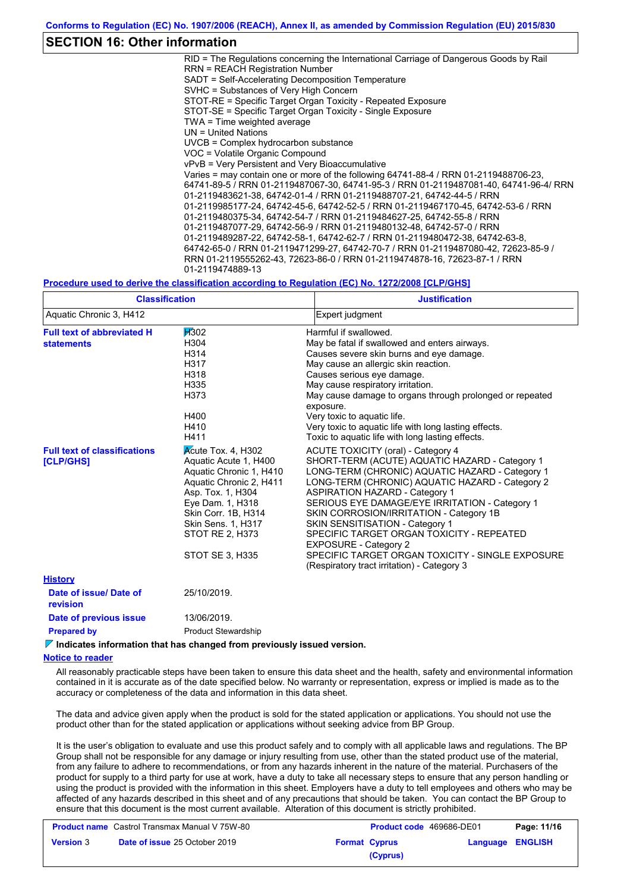### **SECTION 16: Other information**

RID = The Regulations concerning the International Carriage of Dangerous Goods by Rail RRN = REACH Registration Number SADT = Self-Accelerating Decomposition Temperature SVHC = Substances of Very High Concern STOT-RE = Specific Target Organ Toxicity - Repeated Exposure STOT-SE = Specific Target Organ Toxicity - Single Exposure TWA = Time weighted average UN = United Nations UVCB = Complex hydrocarbon substance VOC = Volatile Organic Compound vPvB = Very Persistent and Very Bioaccumulative Varies = may contain one or more of the following 64741-88-4 / RRN 01-2119488706-23, 64741-89-5 / RRN 01-2119487067-30, 64741-95-3 / RRN 01-2119487081-40, 64741-96-4/ RRN 01-2119483621-38, 64742-01-4 / RRN 01-2119488707-21, 64742-44-5 / RRN 01-2119985177-24, 64742-45-6, 64742-52-5 / RRN 01-2119467170-45, 64742-53-6 / RRN 01-2119480375-34, 64742-54-7 / RRN 01-2119484627-25, 64742-55-8 / RRN 01-2119487077-29, 64742-56-9 / RRN 01-2119480132-48, 64742-57-0 / RRN 01-2119489287-22, 64742-58-1, 64742-62-7 / RRN 01-2119480472-38, 64742-63-8, 64742-65-0 / RRN 01-2119471299-27, 64742-70-7 / RRN 01-2119487080-42, 72623-85-9 / RRN 01-2119555262-43, 72623-86-0 / RRN 01-2119474878-16, 72623-87-1 / RRN 01-2119474889-13

#### **Procedure used to derive the classification according to Regulation (EC) No. 1272/2008 [CLP/GHS]**

| <b>Classification</b>                                   |                                                                                                                                                                                                                                             | <b>Justification</b>                                                                                                                                                                                                                                                                                                                                                                                                                                                                                                                                       |
|---------------------------------------------------------|---------------------------------------------------------------------------------------------------------------------------------------------------------------------------------------------------------------------------------------------|------------------------------------------------------------------------------------------------------------------------------------------------------------------------------------------------------------------------------------------------------------------------------------------------------------------------------------------------------------------------------------------------------------------------------------------------------------------------------------------------------------------------------------------------------------|
| Aquatic Chronic 3, H412                                 |                                                                                                                                                                                                                                             | Expert judgment                                                                                                                                                                                                                                                                                                                                                                                                                                                                                                                                            |
| <b>Full text of abbreviated H</b><br><b>statements</b>  | <b>H</b> 302<br>H304<br>H314<br>H317<br>H318<br>H335<br>H373<br>H400<br>H410<br>H411                                                                                                                                                        | Harmful if swallowed.<br>May be fatal if swallowed and enters airways.<br>Causes severe skin burns and eye damage.<br>May cause an allergic skin reaction.<br>Causes serious eye damage.<br>May cause respiratory irritation.<br>May cause damage to organs through prolonged or repeated<br>exposure.<br>Very toxic to aquatic life.<br>Very toxic to aquatic life with long lasting effects.<br>Toxic to aquatic life with long lasting effects.                                                                                                         |
| <b>Full text of classifications</b><br><b>[CLP/GHS]</b> | Acute Tox. 4, H302<br>Aquatic Acute 1, H400<br>Aquatic Chronic 1, H410<br>Aquatic Chronic 2, H411<br>Asp. Tox. 1, H304<br>Eye Dam. 1, H318<br>Skin Corr. 1B, H314<br><b>Skin Sens. 1, H317</b><br>STOT RE 2, H373<br><b>STOT SE 3, H335</b> | <b>ACUTE TOXICITY (oral) - Category 4</b><br>SHORT-TERM (ACUTE) AQUATIC HAZARD - Category 1<br>LONG-TERM (CHRONIC) AQUATIC HAZARD - Category 1<br>LONG-TERM (CHRONIC) AQUATIC HAZARD - Category 2<br><b>ASPIRATION HAZARD - Category 1</b><br>SERIOUS EYE DAMAGE/EYE IRRITATION - Category 1<br>SKIN CORROSION/IRRITATION - Category 1B<br>SKIN SENSITISATION - Category 1<br>SPECIFIC TARGET ORGAN TOXICITY - REPEATED<br><b>EXPOSURE - Category 2</b><br>SPECIFIC TARGET ORGAN TOXICITY - SINGLE EXPOSURE<br>(Respiratory tract irritation) - Category 3 |
| <b>History</b>                                          |                                                                                                                                                                                                                                             |                                                                                                                                                                                                                                                                                                                                                                                                                                                                                                                                                            |
| Date of issue/Date of<br>revision                       | 25/10/2019.                                                                                                                                                                                                                                 |                                                                                                                                                                                                                                                                                                                                                                                                                                                                                                                                                            |
| Date of previous issue                                  | 13/06/2019.                                                                                                                                                                                                                                 |                                                                                                                                                                                                                                                                                                                                                                                                                                                                                                                                                            |
| <b>Prepared by</b>                                      | <b>Product Stewardship</b>                                                                                                                                                                                                                  |                                                                                                                                                                                                                                                                                                                                                                                                                                                                                                                                                            |

#### *V* **Indicates information that has changed from previously issued version.**

**Notice to reader**

All reasonably practicable steps have been taken to ensure this data sheet and the health, safety and environmental information contained in it is accurate as of the date specified below. No warranty or representation, express or implied is made as to the accuracy or completeness of the data and information in this data sheet.

The data and advice given apply when the product is sold for the stated application or applications. You should not use the product other than for the stated application or applications without seeking advice from BP Group.

It is the user's obligation to evaluate and use this product safely and to comply with all applicable laws and regulations. The BP Group shall not be responsible for any damage or injury resulting from use, other than the stated product use of the material, from any failure to adhere to recommendations, or from any hazards inherent in the nature of the material. Purchasers of the product for supply to a third party for use at work, have a duty to take all necessary steps to ensure that any person handling or using the product is provided with the information in this sheet. Employers have a duty to tell employees and others who may be affected of any hazards described in this sheet and of any precautions that should be taken. You can contact the BP Group to ensure that this document is the most current available. Alteration of this document is strictly prohibited.

| <b>Product name</b> Castrol Transmax Manual V 75W-80 |                                      |  | <b>Product code</b> 469686-DE01 | Page: 11/16             |  |
|------------------------------------------------------|--------------------------------------|--|---------------------------------|-------------------------|--|
| <b>Version 3</b>                                     | <b>Date of issue 25 October 2019</b> |  | <b>Format Cyprus</b>            | <b>Language ENGLISH</b> |  |
| (Cyprus)                                             |                                      |  |                                 |                         |  |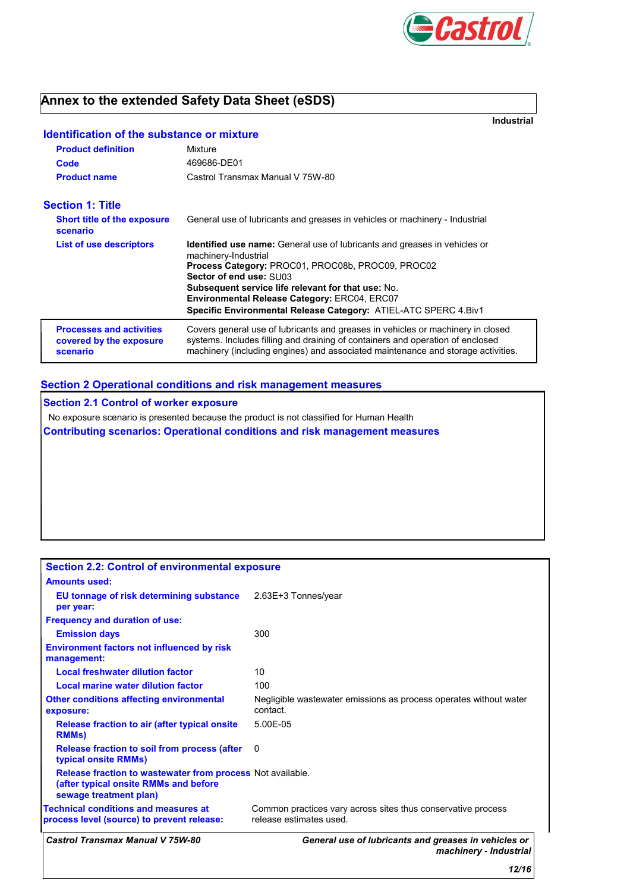

# **Annex to the extended Safety Data Sheet (eSDS)**

**Industrial**

# **Identification of the substance or mixture**

| <b>Product definition</b>                                              | Mixture                                                                                                                                                                                                                                                                                                                                                                         |
|------------------------------------------------------------------------|---------------------------------------------------------------------------------------------------------------------------------------------------------------------------------------------------------------------------------------------------------------------------------------------------------------------------------------------------------------------------------|
| Code                                                                   | 469686-DE01                                                                                                                                                                                                                                                                                                                                                                     |
| <b>Product name</b>                                                    | Castrol Transmax Manual V 75W-80                                                                                                                                                                                                                                                                                                                                                |
| <b>Section 1: Title</b>                                                |                                                                                                                                                                                                                                                                                                                                                                                 |
| <b>Short title of the exposure</b><br>scenario                         | General use of lubricants and greases in vehicles or machinery - Industrial                                                                                                                                                                                                                                                                                                     |
| <b>List of use descriptors</b>                                         | <b>Identified use name:</b> General use of lubricants and greases in vehicles or<br>machinery-Industrial<br>Process Category: PROC01, PROC08b, PROC09, PROC02<br>Sector of end use: SU03<br><b>Subsequent service life relevant for that use: No.</b><br><b>Environmental Release Category: ERC04, ERC07</b><br>Specific Environmental Release Category: ATIEL-ATC SPERC 4.Biv1 |
| <b>Processes and activities</b><br>covered by the exposure<br>scenario | Covers general use of lubricants and greases in vehicles or machinery in closed<br>systems. Includes filling and draining of containers and operation of enclosed<br>machinery (including engines) and associated maintenance and storage activities.                                                                                                                           |

### **Section 2 Operational conditions and risk management measures**

**Section 2.1 Control of worker exposure** No exposure scenario is presented because the product is not classified for Human Health **Contributing scenarios: Operational conditions and risk management measures**

| <b>Castrol Transmax Manual V 75W-80</b>                                                                                       | General use of lubricants and greases in vehicles or<br>machinery - Industrial          |
|-------------------------------------------------------------------------------------------------------------------------------|-----------------------------------------------------------------------------------------|
| <b>Technical conditions and measures at</b><br>process level (source) to prevent release:                                     | Common practices vary across sites thus conservative process<br>release estimates used. |
| Release fraction to wastewater from process Not available.<br>(after typical onsite RMMs and before<br>sewage treatment plan) |                                                                                         |
| Release fraction to soil from process (after<br>typical onsite RMMs)                                                          | 0                                                                                       |
| Release fraction to air (after typical onsite)<br><b>RMMs</b> )                                                               | $5.00F - 0.5$                                                                           |
| <b>Other conditions affecting environmental</b><br>exposure:                                                                  | Negligible wastewater emissions as process operates without water<br>contact.           |
| Local marine water dilution factor                                                                                            | 100                                                                                     |
| <b>Local freshwater dilution factor</b>                                                                                       | 10                                                                                      |
| <b>Environment factors not influenced by risk</b><br>management:                                                              |                                                                                         |
| <b>Emission days</b>                                                                                                          | 300                                                                                     |
| <b>Frequency and duration of use:</b>                                                                                         |                                                                                         |
| <b>EU tonnage of risk determining substance</b> 2.63E+3 Tonnes/year<br>per year:                                              |                                                                                         |
| <b>Amounts used:</b>                                                                                                          |                                                                                         |
| <b>Section 2.2: Control of environmental exposure</b>                                                                         |                                                                                         |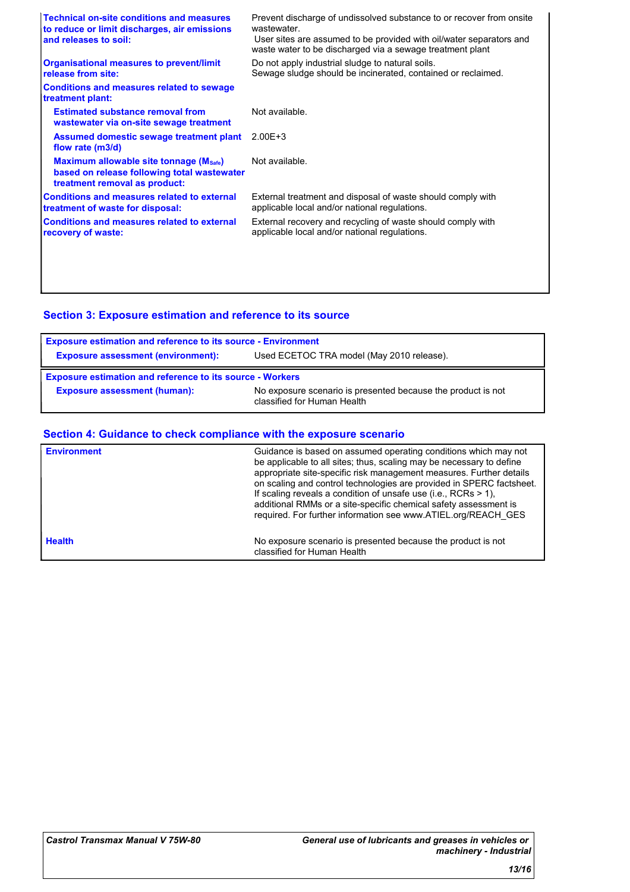| <b>Technical on-site conditions and measures</b><br>to reduce or limit discharges, air emissions<br>and releases to soil: | Prevent discharge of undissolved substance to or recover from onsite<br>wastewater<br>User sites are assumed to be provided with oil/water separators and<br>waste water to be discharged via a sewage treatment plant |
|---------------------------------------------------------------------------------------------------------------------------|------------------------------------------------------------------------------------------------------------------------------------------------------------------------------------------------------------------------|
| <b>Organisational measures to prevent/limit</b><br>release from site:                                                     | Do not apply industrial sludge to natural soils.<br>Sewage sludge should be incinerated, contained or reclaimed.                                                                                                       |
| <b>Conditions and measures related to sewage</b><br>treatment plant:                                                      |                                                                                                                                                                                                                        |
| <b>Estimated substance removal from</b><br>wastewater via on-site sewage treatment                                        | Not available.                                                                                                                                                                                                         |
| Assumed domestic sewage treatment plant<br>flow rate (m3/d)                                                               | $2.00E + 3$                                                                                                                                                                                                            |
| Maximum allowable site tonnage (Msafe)<br>based on release following total wastewater<br>treatment removal as product:    | Not available.                                                                                                                                                                                                         |
| <b>Conditions and measures related to external</b><br>treatment of waste for disposal:                                    | External treatment and disposal of waste should comply with<br>applicable local and/or national regulations.                                                                                                           |
| <b>Conditions and measures related to external</b><br>recovery of waste:                                                  | External recovery and recycling of waste should comply with<br>applicable local and/or national regulations.                                                                                                           |
|                                                                                                                           |                                                                                                                                                                                                                        |
|                                                                                                                           |                                                                                                                                                                                                                        |

# **Section 3: Exposure estimation and reference to its source**

| <b>Exposure estimation and reference to its source - Environment</b> |                                           |  |
|----------------------------------------------------------------------|-------------------------------------------|--|
| <b>Exposure assessment (environment):</b>                            | Used ECETOC TRA model (May 2010 release). |  |
| <b>Exposure estimation and reference to its source - Workers</b>     |                                           |  |
|                                                                      |                                           |  |

## **Section 4: Guidance to check compliance with the exposure scenario**

| <b>Environment</b> | Guidance is based on assumed operating conditions which may not<br>be applicable to all sites; thus, scaling may be necessary to define<br>appropriate site-specific risk management measures. Further details<br>on scaling and control technologies are provided in SPERC factsheet.<br>If scaling reveals a condition of unsafe use (i.e., RCRs $> 1$ ),<br>additional RMMs or a site-specific chemical safety assessment is<br>required. For further information see www.ATIEL.org/REACH_GES |
|--------------------|--------------------------------------------------------------------------------------------------------------------------------------------------------------------------------------------------------------------------------------------------------------------------------------------------------------------------------------------------------------------------------------------------------------------------------------------------------------------------------------------------|
| <b>Health</b>      | No exposure scenario is presented because the product is not<br>classified for Human Health                                                                                                                                                                                                                                                                                                                                                                                                      |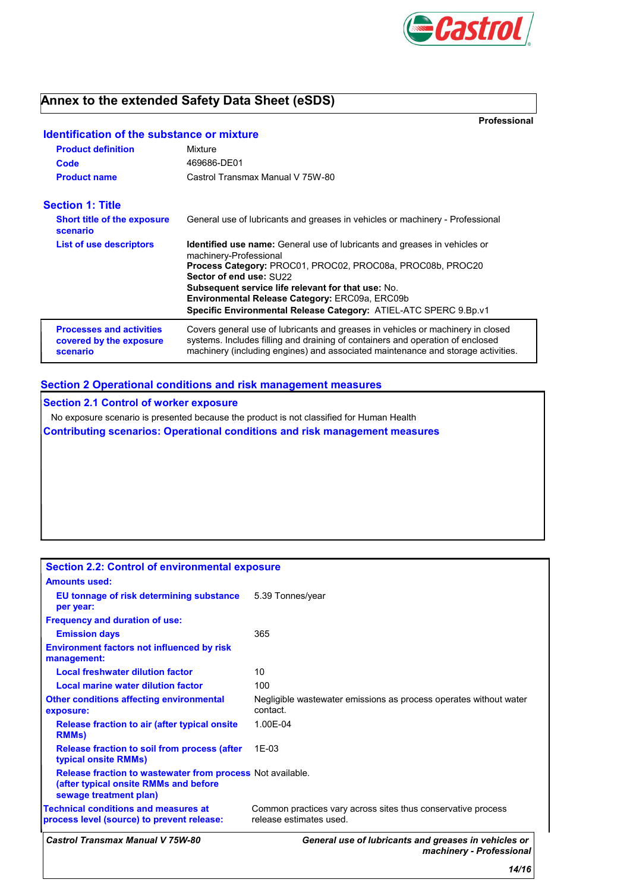

# **Annex to the extended Safety Data Sheet (eSDS)**

**Professional**

| <b>Identification of the substance or mixture</b>                      |                                                                                                                                                                                                                                                       |  |  |
|------------------------------------------------------------------------|-------------------------------------------------------------------------------------------------------------------------------------------------------------------------------------------------------------------------------------------------------|--|--|
| <b>Product definition</b>                                              | Mixture                                                                                                                                                                                                                                               |  |  |
| Code                                                                   | 469686-DE01                                                                                                                                                                                                                                           |  |  |
| <b>Product name</b>                                                    | Castrol Transmax Manual V 75W-80                                                                                                                                                                                                                      |  |  |
| <b>Section 1: Title</b>                                                |                                                                                                                                                                                                                                                       |  |  |
| <b>Short title of the exposure</b><br>scenario                         | General use of lubricants and greases in vehicles or machinery - Professional                                                                                                                                                                         |  |  |
| List of use descriptors                                                | <b>Identified use name:</b> General use of lubricants and greases in vehicles or<br>machinery-Professional                                                                                                                                            |  |  |
|                                                                        | Process Category: PROC01, PROC02, PROC08a, PROC08b, PROC20<br>Sector of end use: SU22                                                                                                                                                                 |  |  |
|                                                                        | <b>Subsequent service life relevant for that use: No.</b>                                                                                                                                                                                             |  |  |
|                                                                        | Environmental Release Category: ERC09a, ERC09b<br>Specific Environmental Release Category: ATIEL-ATC SPERC 9.Bp.v1                                                                                                                                    |  |  |
| <b>Processes and activities</b><br>covered by the exposure<br>scenario | Covers general use of lubricants and greases in vehicles or machinery in closed<br>systems. Includes filling and draining of containers and operation of enclosed<br>machinery (including engines) and associated maintenance and storage activities. |  |  |

### **Section 2 Operational conditions and risk management measures**

**Section 2.1 Control of worker exposure**

No exposure scenario is presented because the product is not classified for Human Health

**Contributing scenarios: Operational conditions and risk management measures**

| <b>Section 2.2: Control of environmental exposure</b>                                                                                |                                                                                         |
|--------------------------------------------------------------------------------------------------------------------------------------|-----------------------------------------------------------------------------------------|
| <b>Amounts used:</b>                                                                                                                 |                                                                                         |
| EU tonnage of risk determining substance<br>per year:                                                                                | 5.39 Tonnes/year                                                                        |
| <b>Frequency and duration of use:</b>                                                                                                |                                                                                         |
| <b>Emission days</b>                                                                                                                 | 365                                                                                     |
| <b>Environment factors not influenced by risk</b><br>management:                                                                     |                                                                                         |
| <b>Local freshwater dilution factor</b>                                                                                              | 10                                                                                      |
| Local marine water dilution factor                                                                                                   | 100                                                                                     |
| <b>Other conditions affecting environmental</b><br>exposure:                                                                         | Negligible wastewater emissions as process operates without water<br>contact.           |
| <b>Release fraction to air (after typical onsite)</b><br><b>RMMs</b> )                                                               | 1.00E-04                                                                                |
| <b>Release fraction to soil from process (after</b><br>typical onsite RMMs)                                                          | 1E-03                                                                                   |
| <b>Release fraction to wastewater from process Not available.</b><br>(after typical onsite RMMs and before<br>sewage treatment plan) |                                                                                         |
| <b>Technical conditions and measures at</b><br>process level (source) to prevent release:                                            | Common practices vary across sites thus conservative process<br>release estimates used. |
| <b>Castrol Transmax Manual V 75W-80</b>                                                                                              | General use of lubricants and greases in vehicles or<br>machinery - Professional        |
|                                                                                                                                      | 14/16                                                                                   |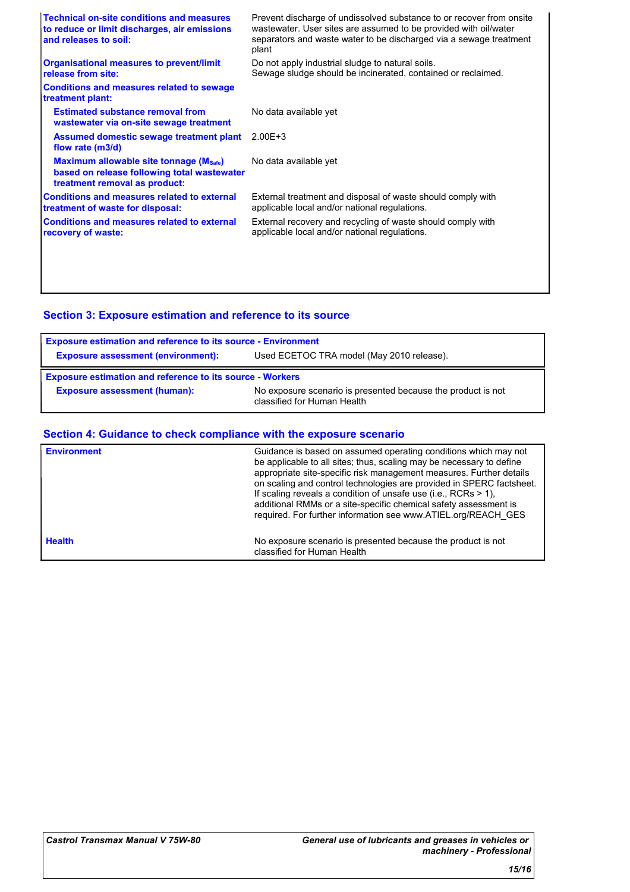| <b>Technical on-site conditions and measures</b><br>to reduce or limit discharges, air emissions<br>and releases to soil: | Prevent discharge of undissolved substance to or recover from onsite<br>wastewater. User sites are assumed to be provided with oil/water<br>separators and waste water to be discharged via a sewage treatment<br>plant |
|---------------------------------------------------------------------------------------------------------------------------|-------------------------------------------------------------------------------------------------------------------------------------------------------------------------------------------------------------------------|
| <b>Organisational measures to prevent/limit</b><br>release from site:                                                     | Do not apply industrial sludge to natural soils.<br>Sewage sludge should be incinerated, contained or reclaimed.                                                                                                        |
| <b>Conditions and measures related to sewage</b><br>treatment plant:                                                      |                                                                                                                                                                                                                         |
| <b>Estimated substance removal from</b><br>wastewater via on-site sewage treatment                                        | No data available yet                                                                                                                                                                                                   |
| Assumed domestic sewage treatment plant<br>flow rate (m3/d)                                                               | $2.00E + 3$                                                                                                                                                                                                             |
| Maximum allowable site tonnage (Msafe)<br>based on release following total wastewater<br>treatment removal as product:    | No data available yet                                                                                                                                                                                                   |
| <b>Conditions and measures related to external</b><br>treatment of waste for disposal:                                    | External treatment and disposal of waste should comply with<br>applicable local and/or national regulations.                                                                                                            |
| <b>Conditions and measures related to external</b><br>recovery of waste:                                                  | External recovery and recycling of waste should comply with<br>applicable local and/or national regulations.                                                                                                            |
|                                                                                                                           |                                                                                                                                                                                                                         |
|                                                                                                                           |                                                                                                                                                                                                                         |

# **Section 3: Exposure estimation and reference to its source**

| <b>Exposure estimation and reference to its source - Environment</b> |                                                                                             |  |
|----------------------------------------------------------------------|---------------------------------------------------------------------------------------------|--|
| <b>Exposure assessment (environment):</b>                            | Used ECETOC TRA model (May 2010 release).                                                   |  |
| <b>Exposure estimation and reference to its source - Workers</b>     |                                                                                             |  |
| <b>Exposure assessment (human):</b>                                  | No exposure scenario is presented because the product is not<br>classified for Human Health |  |

## **Section 4: Guidance to check compliance with the exposure scenario**

| <b>Environment</b> | Guidance is based on assumed operating conditions which may not<br>be applicable to all sites; thus, scaling may be necessary to define<br>appropriate site-specific risk management measures. Further details<br>on scaling and control technologies are provided in SPERC factsheet.<br>If scaling reveals a condition of unsafe use (i.e., RCRs $> 1$ ),<br>additional RMMs or a site-specific chemical safety assessment is<br>required. For further information see www.ATIEL.org/REACH_GES |
|--------------------|--------------------------------------------------------------------------------------------------------------------------------------------------------------------------------------------------------------------------------------------------------------------------------------------------------------------------------------------------------------------------------------------------------------------------------------------------------------------------------------------------|
| <b>Health</b>      | No exposure scenario is presented because the product is not<br>classified for Human Health                                                                                                                                                                                                                                                                                                                                                                                                      |